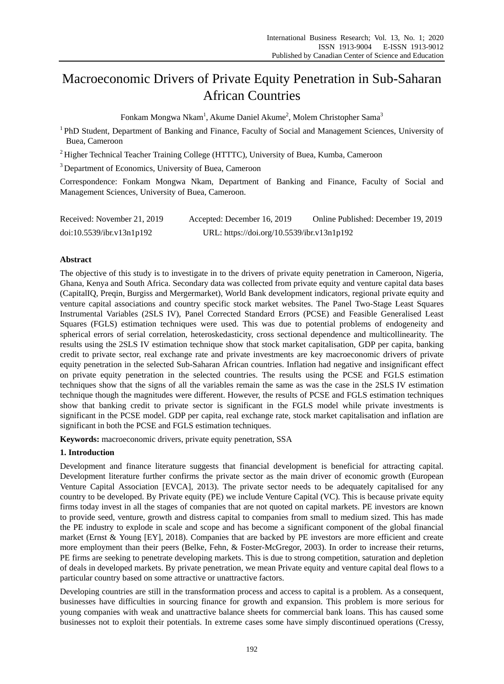# Macroeconomic Drivers of Private Equity Penetration in Sub-Saharan African Countries

Fonkam Mongwa Nkam<sup>1</sup>, Akume Daniel Akume<sup>2</sup>, Molem Christopher Sama<sup>3</sup>

<sup>1</sup>PhD Student, Department of Banking and Finance, Faculty of Social and Management Sciences, University of Buea, Cameroon

 $<sup>2</sup>$  Higher Technical Teacher Training College (HTTTC), University of Buea, Kumba, Cameroon</sup>

<sup>3</sup> Department of Economics, University of Buea, Cameroon

Correspondence: Fonkam Mongwa Nkam, Department of Banking and Finance, Faculty of Social and Management Sciences, University of Buea, Cameroon.

| Received: November 21, 2019 | Accepted: December 16, 2019                | Online Published: December 19, 2019 |
|-----------------------------|--------------------------------------------|-------------------------------------|
| doi:10.5539/ibr.v13n1p192   | URL: https://doi.org/10.5539/ibr.v13n1p192 |                                     |

# **Abstract**

The objective of this study is to investigate in to the drivers of private equity penetration in Cameroon, Nigeria, Ghana, Kenya and South Africa. Secondary data was collected from private equity and venture capital data bases (CapitalIQ, Preqin, Burgiss and Mergermarket), World Bank development indicators, regional private equity and venture capital associations and country specific stock market websites. The Panel Two-Stage Least Squares Instrumental Variables (2SLS IV), Panel Corrected Standard Errors (PCSE) and Feasible Generalised Least Squares (FGLS) estimation techniques were used. This was due to potential problems of endogeneity and spherical errors of serial correlation, heteroskedasticity, cross sectional dependence and multicollinearity. The results using the 2SLS IV estimation technique show that stock market capitalisation, GDP per capita, banking credit to private sector, real exchange rate and private investments are key macroeconomic drivers of private equity penetration in the selected Sub-Saharan African countries. Inflation had negative and insignificant effect on private equity penetration in the selected countries. The results using the PCSE and FGLS estimation techniques show that the signs of all the variables remain the same as was the case in the 2SLS IV estimation technique though the magnitudes were different. However, the results of PCSE and FGLS estimation techniques show that banking credit to private sector is significant in the FGLS model while private investments is significant in the PCSE model. GDP per capita, real exchange rate, stock market capitalisation and inflation are significant in both the PCSE and FGLS estimation techniques.

**Keywords:** macroeconomic drivers, private equity penetration, SSA

## **1. Introduction**

Development and finance literature suggests that financial development is beneficial for attracting capital. Development literature further confirms the private sector as the main driver of economic growth (European Venture Capital Association [EVCA], 2013). The private sector needs to be adequately capitalised for any country to be developed. By Private equity (PE) we include Venture Capital (VC). This is because private equity firms today invest in all the stages of companies that are not quoted on capital markets. PE investors are known to provide seed, venture, growth and distress capital to companies from small to medium sized. This has made the PE industry to explode in scale and scope and has become a significant component of the global financial market (Ernst & Young [EY], 2018). Companies that are backed by PE investors are more efficient and create more employment than their peers (Belke, Fehn, & Foster-McGregor, 2003). In order to increase their returns, PE firms are seeking to penetrate developing markets. This is due to strong competition, saturation and depletion of deals in developed markets. By private penetration, we mean Private equity and venture capital deal flows to a particular country based on some attractive or unattractive factors.

Developing countries are still in the transformation process and access to capital is a problem. As a consequent, businesses have difficulties in sourcing finance for growth and expansion. This problem is more serious for young companies with weak and unattractive balance sheets for commercial bank loans. This has caused some businesses not to exploit their potentials. In extreme cases some have simply discontinued operations (Cressy,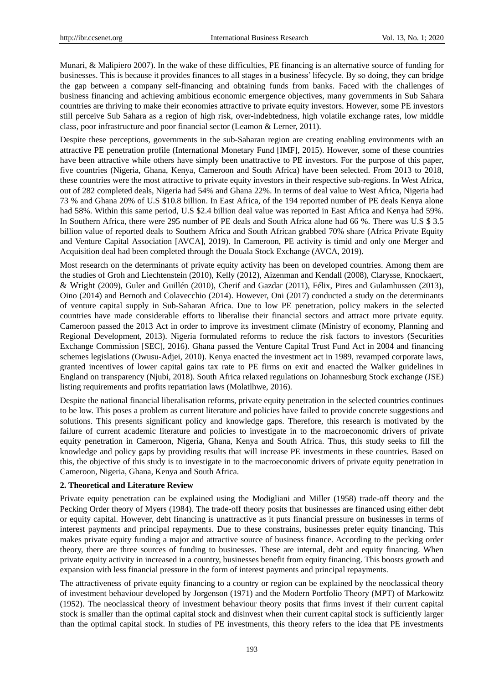Munari, & Malipiero 2007). In the wake of these difficulties, PE financing is an alternative source of funding for businesses. This is because it provides finances to all stages in a business' lifecycle. By so doing, they can bridge the gap between a company self-financing and obtaining funds from banks. Faced with the challenges of business financing and achieving ambitious economic emergence objectives, many governments in Sub Sahara countries are thriving to make their economies attractive to private equity investors. However, some PE investors still perceive Sub Sahara as a region of high risk, over-indebtedness, high volatile exchange rates, low middle class, poor infrastructure and poor financial sector (Leamon & Lerner, 2011).

Despite these perceptions, governments in the sub-Saharan region are creating enabling environments with an attractive PE penetration profile (International Monetary Fund [IMF], 2015). However, some of these countries have been attractive while others have simply been unattractive to PE investors. For the purpose of this paper, five countries (Nigeria, Ghana, Kenya, Cameroon and South Africa) have been selected. From 2013 to 2018, these countries were the most attractive to private equity investors in their respective sub-regions. In West Africa, out of 282 completed deals, Nigeria had 54% and Ghana 22%. In terms of deal value to West Africa, Nigeria had 73 % and Ghana 20% of U.S \$10.8 billion. In East Africa, of the 194 reported number of PE deals Kenya alone had 58%. Within this same period, U.S \$2.4 billion deal value was reported in East Africa and Kenya had 59%. In Southern Africa, there were 295 number of PE deals and South Africa alone had 66 %. There was U.S \$ 3.5 billion value of reported deals to Southern Africa and South African grabbed 70% share (Africa Private Equity and Venture Capital Association [AVCA], 2019). In Cameroon, PE activity is timid and only one Merger and Acquisition deal had been completed through the Douala Stock Exchange (AVCA, 2019).

Most research on the determinants of private equity activity has been on developed countries. Among them are the studies of Groh and Liechtenstein (2010), Kelly (2012), Aizenman and Kendall (2008), Clarysse, Knockaert, & Wright (2009), Guler and Guillén (2010), Cherif and Gazdar (2011), Félix, Pires and Gulamhussen (2013), Oino (2014) and Bernoth and Colavecchio (2014). However, Oni (2017) conducted a study on the determinants of venture capital supply in Sub-Saharan Africa. Due to low PE penetration, policy makers in the selected countries have made considerable efforts to liberalise their financial sectors and attract more private equity. Cameroon passed the 2013 Act in order to improve its investment climate (Ministry of economy, Planning and Regional Development, 2013). Nigeria formulated reforms to reduce the risk factors to investors (Securities Exchange Commission [SEC], 2016). Ghana passed the Venture Capital Trust Fund Act in 2004 and financing schemes legislations (Owusu-Adjei, 2010). Kenya enacted the investment act in 1989, revamped corporate laws, granted incentives of lower capital gains tax rate to PE firms on exit and enacted the Walker guidelines in England on transparency (Njubi, 2018). South Africa relaxed regulations on Johannesburg Stock exchange (JSE) listing requirements and profits repatriation laws (Molatlhwe, 2016).

Despite the national financial liberalisation reforms, private equity penetration in the selected countries continues to be low. This poses a problem as current literature and policies have failed to provide concrete suggestions and solutions. This presents significant policy and knowledge gaps. Therefore, this research is motivated by the failure of current academic literature and policies to investigate in to the macroeconomic drivers of private equity penetration in Cameroon, Nigeria, Ghana, Kenya and South Africa. Thus, this study seeks to fill the knowledge and policy gaps by providing results that will increase PE investments in these countries. Based on this, the objective of this study is to investigate in to the macroeconomic drivers of private equity penetration in Cameroon, Nigeria, Ghana, Kenya and South Africa.

## **2. Theoretical and Literature Review**

Private equity penetration can be explained using the Modigliani and Miller (1958) trade-off theory and the Pecking Order theory of Myers (1984). The trade-off theory posits that businesses are financed using either debt or equity capital. However, debt financing is unattractive as it puts financial pressure on businesses in terms of interest payments and principal repayments. Due to these constrains, businesses prefer equity financing. This makes private equity funding a major and attractive source of business finance. According to the pecking order theory, there are three sources of funding to businesses. These are internal, debt and equity financing. When private equity activity in increased in a country, businesses benefit from equity financing. This boosts growth and expansion with less financial pressure in the form of interest payments and principal repayments.

The attractiveness of private equity financing to a country or region can be explained by the neoclassical theory of investment behaviour developed by Jorgenson (1971) and the Modern Portfolio Theory (MPT) of Markowitz (1952). The neoclassical theory of investment behaviour theory posits that firms invest if their current capital stock is smaller than the optimal capital stock and disinvest when their current capital stock is sufficiently larger than the optimal capital stock. In studies of PE investments, this theory refers to the idea that PE investments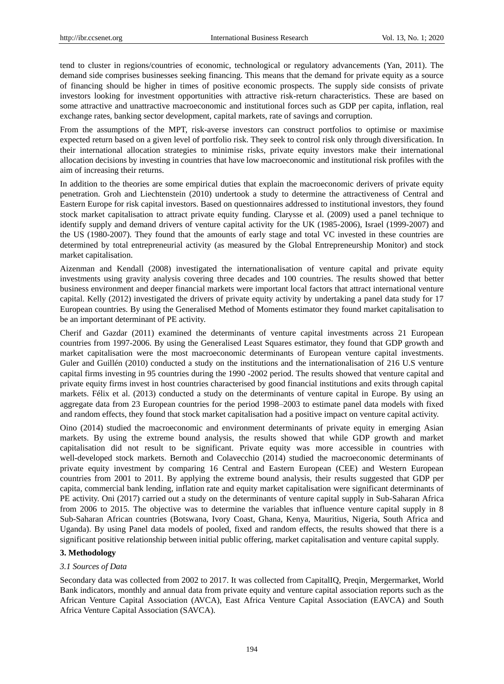tend to cluster in regions/countries of economic, technological or regulatory advancements (Yan, 2011). The demand side comprises businesses seeking financing. This means that the demand for private equity as a source of financing should be higher in times of positive economic prospects. The supply side consists of private investors looking for investment opportunities with attractive risk-return characteristics. These are based on some attractive and unattractive macroeconomic and institutional forces such as GDP per capita, inflation, real exchange rates, banking sector development, capital markets, rate of savings and corruption.

From the assumptions of the MPT, risk-averse investors can construct portfolios to optimise or maximise expected return based on a given level of portfolio risk. They seek to control risk only through diversification. In their international allocation strategies to minimise risks, private equity investors make their international allocation decisions by investing in countries that have low macroeconomic and institutional risk profiles with the aim of increasing their returns.

In addition to the theories are some empirical duties that explain the macroeconomic derivers of private equity penetration. Groh and Liechtenstein (2010) undertook a study to determine the attractiveness of Central and Eastern Europe for risk capital investors. Based on questionnaires addressed to institutional investors, they found stock market capitalisation to attract private equity funding. Clarysse et al. (2009) used a panel technique to identify supply and demand drivers of venture capital activity for the UK (1985-2006), Israel (1999-2007) and the US (1980-2007). They found that the amounts of early stage and total VC invested in these countries are determined by total entrepreneurial activity (as measured by the Global Entrepreneurship Monitor) and stock market capitalisation.

Aizenman and Kendall (2008) investigated the internationalisation of venture capital and private equity investments using gravity analysis covering three decades and 100 countries. The results showed that better business environment and deeper financial markets were important local factors that attract international venture capital. Kelly (2012) investigated the drivers of private equity activity by undertaking a panel data study for 17 European countries. By using the Generalised Method of Moments estimator they found market capitalisation to be an important determinant of PE activity.

Cherif and Gazdar (2011) examined the determinants of venture capital investments across 21 European countries from 1997-2006. By using the Generalised Least Squares estimator, they found that GDP growth and market capitalisation were the most macroeconomic determinants of European venture capital investments. Guler and Guillén (2010) conducted a study on the institutions and the internationalisation of 216 U.S venture capital firms investing in 95 countries during the 1990 -2002 period. The results showed that venture capital and private equity firms invest in host countries characterised by good financial institutions and exits through capital markets. Félix et al. (2013) conducted a study on the determinants of venture capital in Europe. By using an aggregate data from 23 European countries for the period 1998–2003 to estimate panel data models with fixed and random effects, they found that stock market capitalisation had a positive impact on venture capital activity.

Oino (2014) studied the macroeconomic and environment determinants of private equity in emerging Asian markets. By using the extreme bound analysis, the results showed that while GDP growth and market capitalisation did not result to be significant. Private equity was more accessible in countries with well-developed stock markets. Bernoth and Colavecchio (2014) studied the macroeconomic determinants of private equity investment by comparing 16 Central and Eastern European (CEE) and Western European countries from 2001 to 2011. By applying the extreme bound analysis, their results suggested that GDP per capita, commercial bank lending, inflation rate and equity market capitalisation were significant determinants of PE activity. Oni (2017) carried out a study on the determinants of venture capital supply in Sub-Saharan Africa from 2006 to 2015. The objective was to determine the variables that influence venture capital supply in 8 Sub-Saharan African countries (Botswana, Ivory Coast, Ghana, Kenya, Mauritius, Nigeria, South Africa and Uganda). By using Panel data models of pooled, fixed and random effects, the results showed that there is a significant positive relationship between initial public offering, market capitalisation and venture capital supply.

## **3. Methodology**

#### *3.1 Sources of Data*

Secondary data was collected from 2002 to 2017. It was collected from CapitalIQ, Preqin, Mergermarket, World Bank indicators, monthly and annual data from private equity and venture capital association reports such as the African Venture Capital Association (AVCA), East Africa Venture Capital Association (EAVCA) and South Africa Venture Capital Association (SAVCA).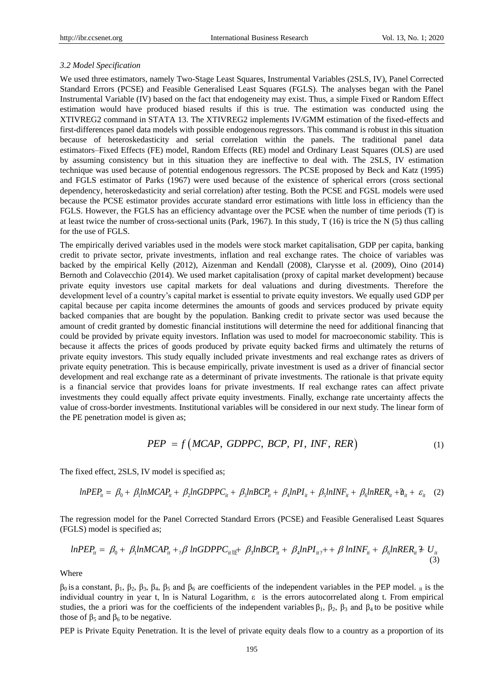## *3.2 Model Specification*

We used three estimators, namely Two-Stage Least Squares, Instrumental Variables (2SLS, IV), Panel Corrected Standard Errors (PCSE) and Feasible Generalised Least Squares (FGLS). The analyses began with the Panel Instrumental Variable (IV) based on the fact that endogeneity may exist. Thus, a simple Fixed or Random Effect estimation would have produced biased results if this is true. The estimation was conducted using the XTIVREG2 command in STATA 13. The XTIVREG2 implements IV/GMM estimation of the fixed-effects and first-differences panel data models with possible endogenous regressors. This command is robust in this situation because of heteroskedasticity and serial correlation within the panels. The traditional panel data estimators–Fixed Effects (FE) model, Random Effects (RE) model and Ordinary Least Squares (OLS) are used by assuming consistency but in this situation they are ineffective to deal with. The 2SLS, IV estimation technique was used because of potential endogenous regressors. The PCSE proposed by Beck and Katz (1995) and FGLS estimator of Parks (1967) were used because of the existence of spherical errors (cross sectional dependency, heteroskedasticity and serial correlation) after testing. Both the PCSE and FGSL models were used because the PCSE estimator provides accurate standard error estimations with little loss in efficiency than the FGLS. However, the FGLS has an efficiency advantage over the PCSE when the number of time periods (T) is at least twice the number of cross-sectional units (Park, 1967). In this study,  $T(16)$  is trice the N (5) thus calling for the use of FGLS.

The empirically derived variables used in the models were stock market capitalisation, GDP per capita, banking credit to private sector, private investments, inflation and real exchange rates. The choice of variables was backed by the empirical Kelly (2012), Aizenman and Kendall (2008), Clarysse et al. (2009), Oino (2014) Bernoth and Colavecchio (2014). We used market capitalisation (proxy of capital market development) because private equity investors use capital markets for deal valuations and during divestments. Therefore the development level of a country's capital market is essential to private equity investors. We equally used GDP per capital because per capita income determines the amounts of goods and services produced by private equity backed companies that are bought by the population. Banking credit to private sector was used because the amount of credit granted by domestic financial institutions will determine the need for additional financing that could be provided by private equity investors. Inflation was used to model for macroeconomic stability. This is because it affects the prices of goods produced by private equity backed firms and ultimately the returns of private equity investors. This study equally included private investments and real exchange rates as drivers of private equity penetration. This is because empirically, private investment is used as a driver of financial sector development and real exchange rate as a determinant of private investments. The rationale is that private equity is a financial service that provides loans for private investments. If real exchange rates can affect private investments they could equally affect private equity investments. Finally, exchange rate uncertainty affects the value of cross-border investments. Institutional variables will be considered in our next study. The linear form of the PE penetration model is given as;

Figure 4.8,

\n
$$
PEP = f\left( MCAP, GDPPC, BCP, PI, INF, RER \right) \tag{1}
$$

The fixed effect, 2SLS, IV model is specified as;

$$
1 - 2 = 0, \, 1 - 2 = 0, \, 2 - 3 = 0, \, 3 - 4 = 0, \, 4 - 1 = 0
$$
\nfixed effect, 2SLS, IV model is specified as;

\n
$$
lnPEP_{ii} = \beta_0 + \beta_1 ln MCAP_{ii} + \beta_2 ln GDPPC_{ii} + \beta_3 ln BCP_{ii} + \beta_4 lnPI_{ii} + \beta_5 ln INF_{ii} + \beta_6 ln RER_{ii} + \mathcal{U}_{ii} + \varepsilon_{ii} \quad (2)
$$

The regression model for the Panel Corrected Standard Errors (PCSE) and Feasible Generalised Least Squares (FGLS) model is specified as;

The regression model for the Panel Corrected Standard Errors (PCSE) and Feasible Generalised Least Squares  
\nSLS) model is specified as;  
\n
$$
lnPEP_{ii} = \beta_0 + \beta_1 ln MCAP_{ii} + \beta_2 ln BOP_{ii} + \beta_3 ln BCP_{ii} + \beta_4 ln PI_{ii} + \beta_5 ln INF_{ii} + \beta_6 ln RER_{ii} + U_{ii}
$$
\n(3)

Where

 $β_0$  is a constant,  $β_1$ ,  $β_2$ ,  $β_3$ ,  $β_4$ ,  $β_5$  and  $β_6$  are coefficients of the independent variables in the PEP model. <sub>it</sub> is the individual country in year t, ln is Natural Logarithm, ε is the errors autocorrelated along t. From empirical studies, the a priori was for the coefficients of the independent variables  $\beta_1$ ,  $\beta_2$ ,  $\beta_3$  and  $\beta_4$  to be positive while those of  $β_5$  and  $β_6$  to be negative.

PEP is Private Equity Penetration. It is the level of private equity deals flow to a country as a proportion of its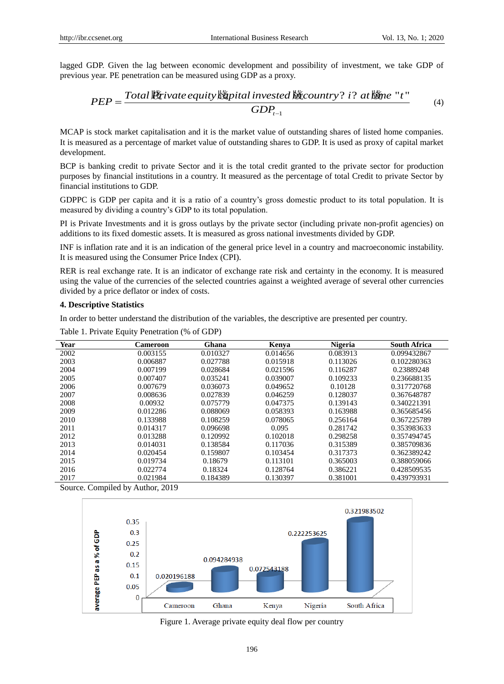lagged GDP. Given the lag between economic development and possibility of investment, we take GDP of previous year. PE penetration can be measured using GDP as a proxy.

GDP. Given the lag between economic development and possibility of investment, we take GDP of year. PE penetration can be measured using GDP as a proxy. 
$$
PEP = \frac{Total \cancel{B}tivate \text{ equivalent}invested \cancel{b}ticountry? i? at \cancel{b}tme "t" (4)}
$$
\n
$$
GDP_{t-1}
$$

MCAP is stock market capitalisation and it is the market value of outstanding shares of listed home companies. It is measured as a percentage of market value of outstanding shares to GDP. It is used as proxy of capital market development.

BCP is banking credit to private Sector and it is the total credit granted to the private sector for production purposes by financial institutions in a country. It measured as the percentage of total Credit to private Sector by financial institutions to GDP.

GDPPC is GDP per capita and it is a ratio of a country's gross domestic product to its total population. It is measured by dividing a country's GDP to its total population.

PI is Private Investments and it is gross outlays by the private sector (including private non-profit agencies) on additions to its fixed domestic assets. It is measured as gross national investments divided by GDP.

INF is inflation rate and it is an indication of the general price level in a country and macroeconomic instability. It is measured using the Consumer Price Index (CPI).

RER is real exchange rate. It is an indicator of exchange rate risk and certainty in the economy. It is measured using the value of the currencies of the selected countries against a weighted average of several other currencies divided by a price deflator or index of costs.

#### **4. Descriptive Statistics**

In order to better understand the distribution of the variables, the descriptive are presented per country.

| Year | Cameroon | Ghana    | Kenya    | <b>Nigeria</b> | <b>South Africa</b> |
|------|----------|----------|----------|----------------|---------------------|
| 2002 | 0.003155 | 0.010327 | 0.014656 | 0.083913       | 0.099432867         |
| 2003 | 0.006887 | 0.027788 | 0.015918 | 0.113026       | 0.102280363         |
| 2004 | 0.007199 | 0.028684 | 0.021596 | 0.116287       | 0.23889248          |
| 2005 | 0.007407 | 0.035241 | 0.039007 | 0.109233       | 0.236688135         |
| 2006 | 0.007679 | 0.036073 | 0.049652 | 0.10128        | 0.317720768         |
| 2007 | 0.008636 | 0.027839 | 0.046259 | 0.128037       | 0.367648787         |
| 2008 | 0.00932  | 0.075779 | 0.047375 | 0.139143       | 0.340221391         |
| 2009 | 0.012286 | 0.088069 | 0.058393 | 0.163988       | 0.365685456         |
| 2010 | 0.133988 | 0.108259 | 0.078065 | 0.256164       | 0.367225789         |
| 2011 | 0.014317 | 0.096698 | 0.095    | 0.281742       | 0.353983633         |
| 2012 | 0.013288 | 0.120992 | 0.102018 | 0.298258       | 0.357494745         |
| 2013 | 0.014031 | 0.138584 | 0.117036 | 0.315389       | 0.385709836         |
| 2014 | 0.020454 | 0.159807 | 0.103454 | 0.317373       | 0.362389242         |
| 2015 | 0.019734 | 0.18679  | 0.113101 | 0.365003       | 0.388059066         |
| 2016 | 0.022774 | 0.18324  | 0.128764 | 0.386221       | 0.428509535         |
| 2017 | 0.021984 | 0.184389 | 0.130397 | 0.381001       | 0.439793931         |

Table 1. Private Equity Penetration (% of GDP)

Source. Compiled by Author, 2019



Figure 1. Average private equity deal flow per country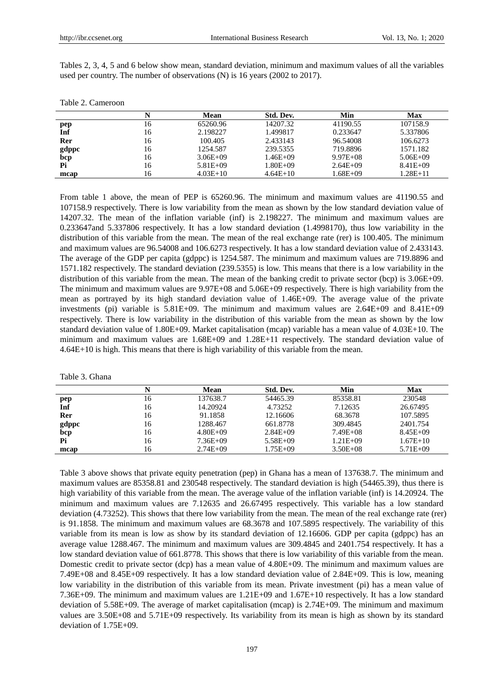Table 2. Cameroon

Tables 2, 3, 4, 5 and 6 below show mean, standard deviation, minimum and maximum values of all the variables used per country. The number of observations (N) is 16 years (2002 to 2017).

|       |    | Mean         | Std. Dev.    | Min          | Max          |
|-------|----|--------------|--------------|--------------|--------------|
| pep   | 16 | 65260.96     | 14207.32     | 41190.55     | 107158.9     |
| Inf   | 16 | 2.198227     | 1.499817     | 0.233647     | 5.337806     |
| Rer   | 16 | 100.405      | 2.433143     | 96.54008     | 106.6273     |
| gdppc | 16 | 1254.587     | 239.5355     | 719.8896     | 1571.182     |
| bcp   | 16 | $3.06E + 09$ | $1.46E + 09$ | $9.97E + 08$ | $5.06E + 09$ |
| Pi    | 16 | $5.81E + 09$ | $1.80E + 09$ | $2.64E + 09$ | $8.41E + 09$ |
| mcan  | 16 | $4.03E+10$   | $4.64E+10$   | L68E+09      | $1.28E + 11$ |

**mcap** 16 4.03E+10 4.64E+10 1.68E+09 1.28E+11 From table 1 above, the mean of PEP is 65260.96. The minimum and maximum values are 41190.55 and 107158.9 respectively. There is low variability from the mean as shown by the low standard deviation value of 14207.32. The mean of the inflation variable (inf) is 2.198227. The minimum and maximum values are 0.233647and 5.337806 respectively. It has a low standard deviation (1.4998170), thus low variability in the distribution of this variable from the mean. The mean of the real exchange rate (rer) is 100.405. The minimum and maximum values are 96.54008 and 106.6273 respectively. It has a low standard deviation value of 2.433143. The average of the GDP per capita (gdppc) is 1254.587. The minimum and maximum values are 719.8896 and 1571.182 respectively. The standard deviation (239.5355) is low. This means that there is a low variability in the distribution of this variable from the mean. The mean of the banking credit to private sector (bcp) is 3.06E+09. The minimum and maximum values are 9.97E+08 and 5.06E+09 respectively. There is high variability from the

mean as portrayed by its high standard deviation value of 1.46E+09. The average value of the private investments (pi) variable is 5.81E+09. The minimum and maximum values are 2.64E+09 and 8.41E+09 respectively. There is low variability in the distribution of this variable from the mean as shown by the low standard deviation value of 1.80E+09. Market capitalisation (mcap) variable has a mean value of 4.03E+10. The minimum and maximum values are 1.68E+09 and 1.28E+11 respectively. The standard deviation value of 4.64E+10 is high. This means that there is high variability of this variable from the mean.

|  |  | Table 3. Ghana |
|--|--|----------------|
|--|--|----------------|

|       |    | Mean         | Std. Dev.    | Min          | Max          |
|-------|----|--------------|--------------|--------------|--------------|
| pep   | 16 | 137638.7     | 54465.39     | 85358.81     | 230548       |
| Inf   | 16 | 14.20924     | 4.73252      | 7.12635      | 26.67495     |
| Rer   | 16 | 91.1858      | 12.16606     | 68.3678      | 107.5895     |
| gdppc | 16 | 1288.467     | 661.8778     | 309.4845     | 2401.754     |
| bcp   | 16 | $4.80E + 09$ | $2.84E + 09$ | $7.49E + 08$ | $8.45E+09$   |
| Pi    | 16 | $7.36E + 09$ | $5.58E + 09$ | $1.21E + 09$ | $1.67E+10$   |
| mcap  | 16 | $2.74E + 09$ | $1.75E + 09$ | $3.50E + 08$ | $5.71E + 09$ |

Table 3 above shows that private equity penetration (pep) in Ghana has a mean of 137638.7. The minimum and maximum values are 85358.81 and 230548 respectively. The standard deviation is high (54465.39), thus there is high variability of this variable from the mean. The average value of the inflation variable (inf) is 14.20924. The minimum and maximum values are 7.12635 and 26.67495 respectively. This variable has a low standard deviation (4.73252). This shows that there low variability from the mean. The mean of the real exchange rate (rer) is 91.1858. The minimum and maximum values are 68.3678 and 107.5895 respectively. The variability of this variable from its mean is low as show by its standard deviation of 12.16606. GDP per capita (gdppc) has an average value 1288.467. The minimum and maximum values are 309.4845 and 2401.754 respectively. It has a low standard deviation value of 661.8778. This shows that there is low variability of this variable from the mean. Domestic credit to private sector (dcp) has a mean value of 4.80E+09. The minimum and maximum values are 7.49E+08 and 8.45E+09 respectively. It has a low standard deviation value of 2.84E+09. This is low, meaning low variability in the distribution of this variable from its mean. Private investment (pi) has a mean value of 7.36E+09. The minimum and maximum values are 1.21E+09 and 1.67E+10 respectively. It has a low standard deviation of 5.58E+09. The average of market capitalisation (mcap) is 2.74E+09. The minimum and maximum values are 3.50E+08 and 5.71E+09 respectively. Its variability from its mean is high as shown by its standard deviation of 1.75E+09.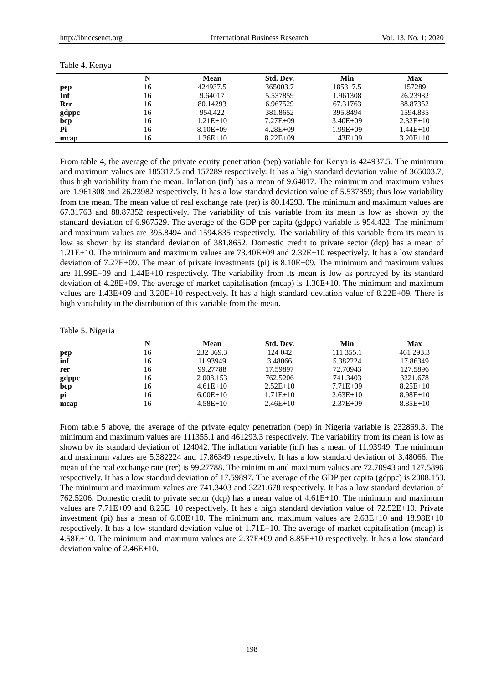| Table 4. Kenya |  |
|----------------|--|
|----------------|--|

|       |    | Mean         | Std. Dev.    | Min          | Max        |
|-------|----|--------------|--------------|--------------|------------|
| pep   | 16 | 424937.5     | 365003.7     | 185317.5     | 157289     |
| Inf   | 16 | 9.64017      | 5.537859     | 1.961308     | 26.23982   |
| Rer   | 16 | 80.14293     | 6.967529     | 67.31763     | 88.87352   |
| gdppc | 16 | 954.422      | 381.8652     | 395.8494     | 1594.835   |
| bcp   | 16 | $1.21E+10$   | $7.27E + 09$ | $3.40E + 09$ | $2.32E+10$ |
| Pi    | 16 | $8.10E + 09$ | $4.28E + 09$ | $1.99E + 09$ | $1.44E+10$ |
| mcap  | 16 | $1.36E+10$   | $8.22E + 09$ | $1.43E + 09$ | $3.20E+10$ |

From table 4, the average of the private equity penetration (pep) variable for Kenya is 424937.5. The minimum and maximum values are 185317.5 and 157289 respectively. It has a high standard deviation value of 365003.7, thus high variability from the mean. Inflation (inf) has a mean of 9.64017. The minimum and maximum values are 1.961308 and 26.23982 respectively. It has a low standard deviation value of 5.537859; thus low variability from the mean. The mean value of real exchange rate (rer) is 80.14293. The minimum and maximum values are 67.31763 and 88.87352 respectively. The variability of this variable from its mean is low as shown by the standard deviation of 6.967529. The average of the GDP per capita (gdppc) variable is 954.422. The minimum and maximum values are 395.8494 and 1594.835 respectively. The variability of this variable from its mean is low as shown by its standard deviation of 381.8652. Domestic credit to private sector (dcp) has a mean of 1.21E+10. The minimum and maximum values are 73.40E+09 and 2.32E+10 respectively. It has a low standard deviation of 7.27E+09. The mean of private investments (pi) is 8.10E+09. The minimum and maximum values are 11.99E+09 and 1.44E+10 respectively. The variability from its mean is low as portrayed by its standard deviation of 4.28E+09. The average of market capitalisation (mcap) is 1.36E+10. The minimum and maximum values are 1.43E+09 and 3.20E+10 respectively. It has a high standard deviation value of 8.22E+09. There is high variability in the distribution of this variable from the mean.

#### Table 5. Nigeria

|       |    | <b>Mean</b> | Std. Dev.  | Min          | Max        |
|-------|----|-------------|------------|--------------|------------|
| pep   | 16 | 232 869.3   | 124 042    | 111 355.1    | 461 293.3  |
| inf   | 16 | 11.93949    | 3.48066    | 5.382224     | 17.86349   |
| rer   | 16 | 99.27788    | 17.59897   | 72.70943     | 127.5896   |
| gdppc | 16 | 2 008.153   | 762.5206   | 741.3403     | 3221.678   |
| bcp   | 16 | $4.61E+10$  | $2.52E+10$ | $7.71E + 09$ | $8.25E+10$ |
| pi    | 16 | $6.00E+10$  | $1.71E+10$ | $2.63E+10$   | $8.98E+10$ |
| mcap  | 16 | $4.58E+10$  | $2.46E+10$ | $2.37E + 09$ | $8.85E+10$ |

From table 5 above, the average of the private equity penetration (pep) in Nigeria variable is 232869.3. The minimum and maximum values are 111355.1 and 461293.3 respectively. The variability from its mean is low as shown by its standard deviation of 124042. The inflation variable (inf) has a mean of 11.93949. The minimum and maximum values are 5.382224 and 17.86349 respectively. It has a low standard deviation of 3.48066. The mean of the real exchange rate (rer) is 99.27788. The minimum and maximum values are 72.70943 and 127.5896 respectively. It has a low standard deviation of 17.59897. The average of the GDP per capita (gdppc) is 2008.153. The minimum and maximum values are 741.3403 and 3221.678 respectively. It has a low standard deviation of 762.5206. Domestic credit to private sector (dcp) has a mean value of 4.61E+10. The minimum and maximum values are 7.71E+09 and 8.25E+10 respectively. It has a high standard deviation value of 72.52E+10. Private investment (pi) has a mean of 6.00E+10. The minimum and maximum values are 2.63E+10 and 18.98E+10 respectively. It has a low standard deviation value of 1.71E+10. The average of market capitalisation (mcap) is 4.58E+10. The minimum and maximum values are 2.37E+09 and 8.85E+10 respectively. It has a low standard deviation value of 2.46E+10.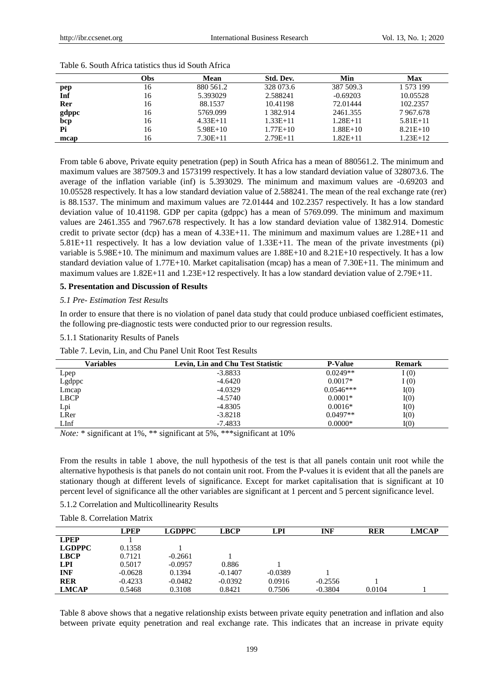|       | (Obs | Mean       | Std. Dev.    | Min        | Max        |
|-------|------|------------|--------------|------------|------------|
| pep   | 16   | 880 561.2  | 328 073.6    | 387 509.3  | 1 573 199  |
| Inf   | 16   | 5.393029   | 2.588241     | $-0.69203$ | 10.05528   |
| Rer   | 16   | 88.1537    | 10.41198     | 72.01444   | 102.2357   |
| gdppc | 16   | 5769.099   | 1 382.914    | 2461.355   | 7967.678   |
| bcp   | 16   | $4.33E+11$ | $1.33E+11$   | $1.28E+11$ | $5.81E+11$ |
| Pi    | 16   | $5.98E+10$ | $1.77E + 10$ | $1.88E+10$ | $8.21E+10$ |
| mcap  | 16   | $7.30E+11$ | $2.79E+11$   | $1.82E+11$ | $1.23E+12$ |

Table 6. South Africa tatistics thus id South Africa

From table 6 above, Private equity penetration (pep) in South Africa has a mean of 880561.2. The minimum and maximum values are 387509.3 and 1573199 respectively. It has a low standard deviation value of 328073.6. The average of the inflation variable (inf) is 5.393029. The minimum and maximum values are -0.69203 and 10.05528 respectively. It has a low standard deviation value of 2.588241. The mean of the real exchange rate (rer) is 88.1537. The minimum and maximum values are 72.01444 and 102.2357 respectively. It has a low standard deviation value of 10.41198. GDP per capita (gdppc) has a mean of 5769.099. The minimum and maximum values are 2461.355 and 7967.678 respectively. It has a low standard deviation value of 1382.914. Domestic credit to private sector (dcp) has a mean of 4.33E+11. The minimum and maximum values are 1.28E+11 and 5.81E+11 respectively. It has a low deviation value of 1.33E+11. The mean of the private investments (pi) variable is 5.98E+10. The minimum and maximum values are 1.88E+10 and 8.21E+10 respectively. It has a low standard deviation value of 1.77E+10. Market capitalisation (mcap) has a mean of 7.30E+11. The minimum and maximum values are 1.82E+11 and 1.23E+12 respectively. It has a low standard deviation value of 2.79E+11.

## **5. Presentation and Discussion of Results**

## *5.1 Pre- Estimation Test Results*

In order to ensure that there is no violation of panel data study that could produce unbiased coefficient estimates, the following pre-diagnostic tests were conducted prior to our regression results.

#### 5.1.1 Stationarity Results of Panels

| Table 7. Levin, Lin, and Chu Panel Unit Root Test Results |  |  |  |  |  |  |  |  |  |
|-----------------------------------------------------------|--|--|--|--|--|--|--|--|--|
|-----------------------------------------------------------|--|--|--|--|--|--|--|--|--|

| Variables   | Levin, Lin and Chu Test Statistic | <b>P-Value</b> | <b>Remark</b> |
|-------------|-----------------------------------|----------------|---------------|
| Lpep        | $-3.8833$                         | $0.0249**$     | I(0)          |
| Lgdppc      | $-4.6420$                         | $0.0017*$      | I(0)          |
| Lmcap       | $-4.0329$                         | $0.0546***$    | I(0)          |
| <b>LBCP</b> | $-4.5740$                         | $0.0001*$      | I(0)          |
| Lpi         | $-4.8305$                         | $0.0016*$      | I(0)          |
| LRer        | $-3.8218$                         | $0.0497**$     | I(0)          |
| LInf        | $-7.4833$                         | $0.0000*$      | I(0)          |

*Note:* \* significant at 1%, \*\* significant at 5%, \*\*\*significant at 10%

From the results in table 1 above, the null hypothesis of the test is that all panels contain unit root while the alternative hypothesis is that panels do not contain unit root. From the P-values it is evident that all the panels are stationary though at different levels of significance. Except for market capitalisation that is significant at 10 percent level of significance all the other variables are significant at 1 percent and 5 percent significance level.

|  | 5.1.2 Correlation and Multicollinearity Results |  |  |
|--|-------------------------------------------------|--|--|
|  |                                                 |  |  |

| Table 8. Correlation Matrix |             |               |             |            |            |            |              |
|-----------------------------|-------------|---------------|-------------|------------|------------|------------|--------------|
|                             | <b>LPEP</b> | <b>LGDPPC</b> | <b>LBCP</b> | <b>LPI</b> | <b>INF</b> | <b>RER</b> | <b>LMCAP</b> |
| <b>LPEP</b>                 |             |               |             |            |            |            |              |
| <b>LGDPPC</b>               | 0.1358      |               |             |            |            |            |              |
| <b>LBCP</b>                 | 0.7121      | $-0.2661$     |             |            |            |            |              |
| <b>LPI</b>                  | 0.5017      | $-0.0957$     | 0.886       |            |            |            |              |
| <b>INF</b>                  | $-0.0628$   | 0.1394        | $-0.1407$   | $-0.0389$  |            |            |              |
| <b>RER</b>                  | $-0.4233$   | $-0.0482$     | $-0.0392$   | 0.0916     | $-0.2556$  |            |              |
| <b>LMCAP</b>                | 0.5468      | 0.3108        | 0.8421      | 0.7506     | $-0.3804$  | 0.0104     |              |

Table 8 above shows that a negative relationship exists between private equity penetration and inflation and also between private equity penetration and real exchange rate. This indicates that an increase in private equity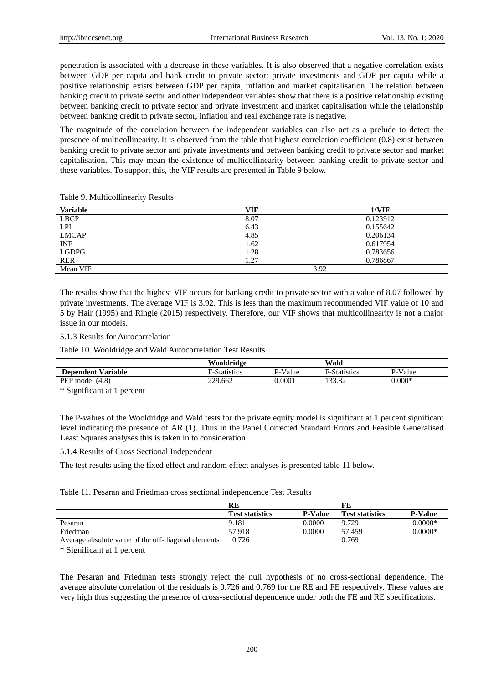penetration is associated with a decrease in these variables. It is also observed that a negative correlation exists between GDP per capita and bank credit to private sector; private investments and GDP per capita while a positive relationship exists between GDP per capita, inflation and market capitalisation. The relation between banking credit to private sector and other independent variables show that there is a positive relationship existing between banking credit to private sector and private investment and market capitalisation while the relationship between banking credit to private sector, inflation and real exchange rate is negative.

The magnitude of the correlation between the independent variables can also act as a prelude to detect the presence of multicollinearity. It is observed from the table that highest correlation coefficient (0.8) exist between banking credit to private sector and private investments and between banking credit to private sector and market capitalisation. This may mean the existence of multicollinearity between banking credit to private sector and these variables. To support this, the VIF results are presented in Table 9 below.

| <b>Variable</b> | VIF  | 1/VIF    |
|-----------------|------|----------|
| <b>LBCP</b>     | 8.07 | 0.123912 |
| <b>LPI</b>      | 6.43 | 0.155642 |
| <b>LMCAP</b>    | 4.85 | 0.206134 |
| <b>INF</b>      | 1.62 | 0.617954 |
| <b>LGDPG</b>    | 1.28 | 0.783656 |
| <b>RER</b>      | 1.27 | 0.786867 |
| Mean VIF        |      | 3.92     |

Table 9. Multicollinearity Results

The results show that the highest VIF occurs for banking credit to private sector with a value of 8.07 followed by private investments. The average VIF is 3.92. This is less than the maximum recommended VIF value of 10 and 5 by Hair (1995) and Ringle (2015) respectively. Therefore, our VIF shows that multicollinearity is not a major issue in our models.

#### 5.1.3 Results for Autocorrelation

Table 10. Wooldridge and Wald Autocorrelation Test Results

|                           | Wooldridge          |         | Wald               |          |
|---------------------------|---------------------|---------|--------------------|----------|
| <b>Dependent Variable</b> | <b>F-Statistics</b> | P-Value | -Statistics<br>E., | P-Value  |
| PEP model (4.8)           | 229.662             | 0.0001  | 133.82             | $0.000*$ |

\* Significant at 1 percent

The P-values of the Wooldridge and Wald tests for the private equity model is significant at 1 percent significant level indicating the presence of AR (1). Thus in the Panel Corrected Standard Errors and Feasible Generalised Least Squares analyses this is taken in to consideration.

5.1.4 Results of Cross Sectional Independent

The test results using the fixed effect and random effect analyses is presented table 11 below.

#### Table 11. Pesaran and Friedman cross sectional independence Test Results

|                                                     | RE                     |                | FЕ                     |                |
|-----------------------------------------------------|------------------------|----------------|------------------------|----------------|
|                                                     | <b>Test statistics</b> | <b>P-Value</b> | <b>Test statistics</b> | <b>P-Value</b> |
| Pesaran                                             | 9.181                  | 0.0000         | 9.729                  | $0.0000*$      |
| Friedman                                            | 57.918                 | 0.0000         | 57.459                 | $0.0000*$      |
| Average absolute value of the off-diagonal elements | 0.726                  |                | 0.769                  |                |

\* Significant at 1 percent

The Pesaran and Friedman tests strongly reject the null hypothesis of no cross-sectional dependence. The average absolute correlation of the residuals is 0.726 and 0.769 for the RE and FE respectively. These values are very high thus suggesting the presence of cross-sectional dependence under both the FE and RE specifications.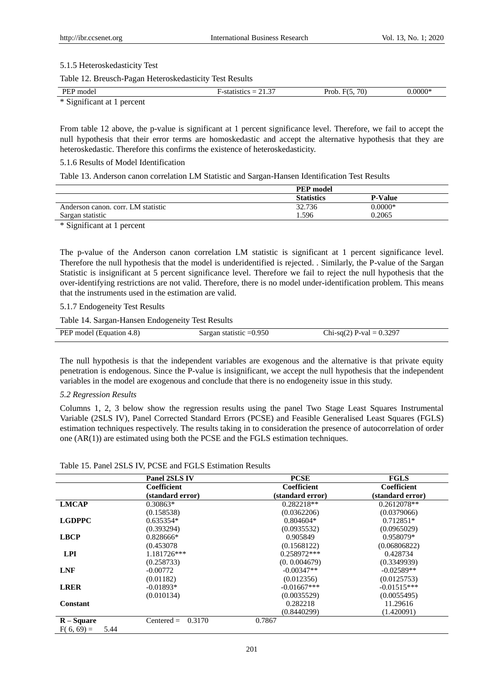#### 5.1.5 Heteroskedasticity Test

Table 12. Breusch-Pagan Heteroskedasticity Test Results

| PEF<br>model                                    | $\sim$<br>SHCS.<br>-<br>-ыл<br><u> 21.J</u> | 70<br>Prob<br>$\blacksquare$ | $.0000*$ |
|-------------------------------------------------|---------------------------------------------|------------------------------|----------|
| $*$ $\mathbb{C}$<br>narcant<br>Nigmitieant at L |                                             |                              |          |

Significant at 1 percent

From table 12 above, the p-value is significant at 1 percent significance level. Therefore, we fail to accept the null hypothesis that their error terms are homoskedastic and accept the alternative hypothesis that they are heteroskedastic. Therefore this confirms the existence of heteroskedasticity.

# 5.1.6 Results of Model Identification

Table 13. Anderson canon correlation LM Statistic and Sargan-Hansen Identification Test Results

|                                    | <b>PEP</b> model  |                |  |
|------------------------------------|-------------------|----------------|--|
|                                    | <b>Statistics</b> | <b>P-Value</b> |  |
| Anderson canon, corr. LM statistic | 32.736            | $0.0000*$      |  |
| Sargan statistic                   | 1.596             | 0.2065         |  |
|                                    |                   |                |  |

\* Significant at 1 percent

The p-value of the Anderson canon correlation LM statistic is significant at 1 percent significance level. Therefore the null hypothesis that the model is underidentified is rejected. . Similarly, the P-value of the Sargan Statistic is insignificant at 5 percent significance level. Therefore we fail to reject the null hypothesis that the over-identifying restrictions are not valid. Therefore, there is no model under-identification problem. This means that the instruments used in the estimation are valid.

## 5.1.7 Endogeneity Test Results

Table 14. Sargan-Hansen Endogeneity Test Results

| PEP model (Equation 4.8) | Sargan statistic $=0.950$ | Chi-sq(2) P-val = $0.3297$ |
|--------------------------|---------------------------|----------------------------|

The null hypothesis is that the independent variables are exogenous and the alternative is that private equity penetration is endogenous. Since the P-value is insignificant, we accept the null hypothesis that the independent variables in the model are exogenous and conclude that there is no endogeneity issue in this study.

#### *5.2 Regression Results*

Columns 1, 2, 3 below show the regression results using the panel Two Stage Least Squares Instrumental Variable (2SLS IV), Panel Corrected Standard Errors (PCSE) and Feasible Generalised Least Squares (FGLS) estimation techniques respectively. The results taking in to consideration the presence of autocorrelation of order one (AR(1)) are estimated using both the PCSE and the FGLS estimation techniques.

## Table 15. Panel 2SLS IV, PCSE and FGLS Estimation Results

|                      | Panel 2SLS IV          | <b>PCSE</b>      | <b>FGLS</b>      |
|----------------------|------------------------|------------------|------------------|
|                      | Coefficient            | Coefficient      | Coefficient      |
|                      | (standard error)       | (standard error) | (standard error) |
| <b>LMCAP</b>         | $0.30863*$             | $0.282218**$     | $0.2612078**$    |
|                      | (0.158538)             | (0.0362206)      | (0.0379066)      |
| <b>LGDPPC</b>        | $0.635354*$            | $0.804604*$      | $0.712851*$      |
|                      | (0.393294)             | (0.0935532)      | (0.0965029)      |
| <b>LBCP</b>          | $0.828666*$            | 0.905849         | $0.958079*$      |
|                      | (0.453078)             | (0.1568122)      | (0.06806822)     |
| <b>LPI</b>           | 1.181726***            | 0.258972***      | 0.428734         |
|                      | (0.258733)             | (0.0.004679)     | (0.3349939)      |
| <b>LNF</b>           | $-0.00772$             | $-0.00347**$     | $-0.02589**$     |
|                      | (0.01182)              | (0.012356)       | (0.0125753)      |
| <b>LRER</b>          | $-0.01893*$            | $-0.01667***$    | $-0.01515***$    |
|                      | (0.010134)             | (0.0035529)      | (0.0055495)      |
| Constant             |                        | 0.282218         | 11.29616         |
|                      |                        | (0.8440299)      | (1.420091)       |
| $R-Square$           | 0.3170<br>$Centered =$ | 0.7867           |                  |
| $F(6, 69) =$<br>5.44 |                        |                  |                  |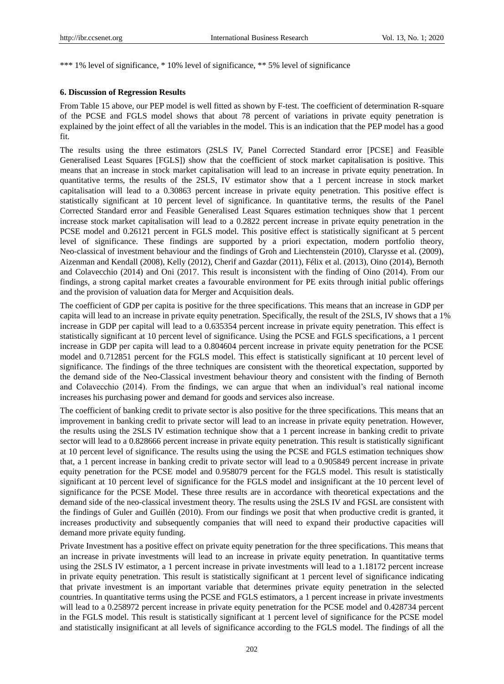\*\*\* 1% level of significance, \* 10% level of significance, \*\* 5% level of significance

## **6. Discussion of Regression Results**

From Table 15 above, our PEP model is well fitted as shown by F-test. The coefficient of determination R-square of the PCSE and FGLS model shows that about 78 percent of variations in private equity penetration is explained by the joint effect of all the variables in the model. This is an indication that the PEP model has a good fit.

The results using the three estimators (2SLS IV, Panel Corrected Standard error [PCSE] and Feasible Generalised Least Squares [FGLS]) show that the coefficient of stock market capitalisation is positive. This means that an increase in stock market capitalisation will lead to an increase in private equity penetration. In quantitative terms, the results of the 2SLS, IV estimator show that a 1 percent increase in stock market capitalisation will lead to a 0.30863 percent increase in private equity penetration. This positive effect is statistically significant at 10 percent level of significance. In quantitative terms, the results of the Panel Corrected Standard error and Feasible Generalised Least Squares estimation techniques show that 1 percent increase stock market capitalisation will lead to a 0.2822 percent increase in private equity penetration in the PCSE model and 0.26121 percent in FGLS model. This positive effect is statistically significant at 5 percent level of significance. These findings are supported by a priori expectation, modern portfolio theory, Neo-classical of investment behaviour and the findings of Groh and Liechtenstein (2010), Clarysse et al. (2009), Aizenman and Kendall (2008), Kelly (2012), Cherif and Gazdar (2011), Félix et al. (2013), Oino (2014), Bernoth and Colavecchio (2014) and Oni (2017. This result is inconsistent with the finding of Oino (2014). From our findings, a strong capital market creates a favourable environment for PE exits through initial public offerings and the provision of valuation data for Merger and Acquisition deals.

The coefficient of GDP per capita is positive for the three specifications. This means that an increase in GDP per capita will lead to an increase in private equity penetration. Specifically, the result of the 2SLS, IV shows that a 1% increase in GDP per capital will lead to a 0.635354 percent increase in private equity penetration. This effect is statistically significant at 10 percent level of significance. Using the PCSE and FGLS specifications, a 1 percent increase in GDP per capita will lead to a 0.804604 percent increase in private equity penetration for the PCSE model and 0.712851 percent for the FGLS model. This effect is statistically significant at 10 percent level of significance. The findings of the three techniques are consistent with the theoretical expectation, supported by the demand side of the Neo-Classical investment behaviour theory and consistent with the finding of Bernoth and Colavecchio (2014). From the findings, we can argue that when an individual's real national income increases his purchasing power and demand for goods and services also increase.

The coefficient of banking credit to private sector is also positive for the three specifications. This means that an improvement in banking credit to private sector will lead to an increase in private equity penetration. However, the results using the 2SLS IV estimation technique show that a 1 percent increase in banking credit to private sector will lead to a 0.828666 percent increase in private equity penetration. This result is statistically significant at 10 percent level of significance. The results using the using the PCSE and FGLS estimation techniques show that, a 1 percent increase in banking credit to private sector will lead to a 0.905849 percent increase in private equity penetration for the PCSE model and 0.958079 percent for the FGLS model. This result is statistically significant at 10 percent level of significance for the FGLS model and insignificant at the 10 percent level of significance for the PCSE Model. These three results are in accordance with theoretical expectations and the demand side of the neo-classical investment theory. The results using the 2SLS IV and FGSL are consistent with the findings of Guler and Guillén (2010). From our findings we posit that when productive credit is granted, it increases productivity and subsequently companies that will need to expand their productive capacities will demand more private equity funding.

Private Investment has a positive effect on private equity penetration for the three specifications. This means that an increase in private investments will lead to an increase in private equity penetration. In quantitative terms using the 2SLS IV estimator, a 1 percent increase in private investments will lead to a 1.18172 percent increase in private equity penetration. This result is statistically significant at 1 percent level of significance indicating that private investment is an important variable that determines private equity penetration in the selected countries. In quantitative terms using the PCSE and FGLS estimators, a 1 percent increase in private investments will lead to a 0.258972 percent increase in private equity penetration for the PCSE model and 0.428734 percent in the FGLS model. This result is statistically significant at 1 percent level of significance for the PCSE model and statistically insignificant at all levels of significance according to the FGLS model. The findings of all the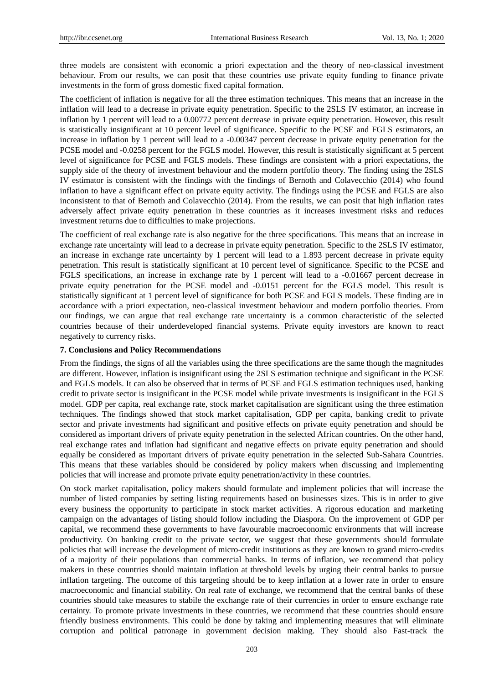three models are consistent with economic a priori expectation and the theory of neo-classical investment behaviour. From our results, we can posit that these countries use private equity funding to finance private investments in the form of gross domestic fixed capital formation.

The coefficient of inflation is negative for all the three estimation techniques. This means that an increase in the inflation will lead to a decrease in private equity penetration. Specific to the 2SLS IV estimator, an increase in inflation by 1 percent will lead to a 0.00772 percent decrease in private equity penetration. However, this result is statistically insignificant at 10 percent level of significance. Specific to the PCSE and FGLS estimators, an increase in inflation by 1 percent will lead to a -0.00347 percent decrease in private equity penetration for the PCSE model and -0.0258 percent for the FGLS model. However, this result is statistically significant at 5 percent level of significance for PCSE and FGLS models. These findings are consistent with a priori expectations, the supply side of the theory of investment behaviour and the modern portfolio theory. The finding using the 2SLS IV estimator is consistent with the findings with the findings of Bernoth and Colavecchio (2014) who found inflation to have a significant effect on private equity activity. The findings using the PCSE and FGLS are also inconsistent to that of Bernoth and Colavecchio (2014). From the results, we can posit that high inflation rates adversely affect private equity penetration in these countries as it increases investment risks and reduces investment returns due to difficulties to make projections.

The coefficient of real exchange rate is also negative for the three specifications. This means that an increase in exchange rate uncertainty will lead to a decrease in private equity penetration. Specific to the 2SLS IV estimator, an increase in exchange rate uncertainty by 1 percent will lead to a 1.893 percent decrease in private equity penetration. This result is statistically significant at 10 percent level of significance. Specific to the PCSE and FGLS specifications, an increase in exchange rate by 1 percent will lead to a -0.01667 percent decrease in private equity penetration for the PCSE model and -0.0151 percent for the FGLS model. This result is statistically significant at 1 percent level of significance for both PCSE and FGLS models. These finding are in accordance with a priori expectation, neo-classical investment behaviour and modern portfolio theories. From our findings, we can argue that real exchange rate uncertainty is a common characteristic of the selected countries because of their underdeveloped financial systems. Private equity investors are known to react negatively to currency risks.

#### **7. Conclusions and Policy Recommendations**

From the findings, the signs of all the variables using the three specifications are the same though the magnitudes are different. However, inflation is insignificant using the 2SLS estimation technique and significant in the PCSE and FGLS models. It can also be observed that in terms of PCSE and FGLS estimation techniques used, banking credit to private sector is insignificant in the PCSE model while private investments is insignificant in the FGLS model. GDP per capita, real exchange rate, stock market capitalisation are significant using the three estimation techniques. The findings showed that stock market capitalisation, GDP per capita, banking credit to private sector and private investments had significant and positive effects on private equity penetration and should be considered as important drivers of private equity penetration in the selected African countries. On the other hand, real exchange rates and inflation had significant and negative effects on private equity penetration and should equally be considered as important drivers of private equity penetration in the selected Sub-Sahara Countries. This means that these variables should be considered by policy makers when discussing and implementing policies that will increase and promote private equity penetration/activity in these countries.

On stock market capitalisation, policy makers should formulate and implement policies that will increase the number of listed companies by setting listing requirements based on businesses sizes. This is in order to give every business the opportunity to participate in stock market activities. A rigorous education and marketing campaign on the advantages of listing should follow including the Diaspora. On the improvement of GDP per capital, we recommend these governments to have favourable macroeconomic environments that will increase productivity. On banking credit to the private sector, we suggest that these governments should formulate policies that will increase the development of micro-credit institutions as they are known to grand micro-credits of a majority of their populations than commercial banks. In terms of inflation, we recommend that policy makers in these countries should maintain inflation at threshold levels by urging their central banks to pursue inflation targeting. The outcome of this targeting should be to keep inflation at a lower rate in order to ensure macroeconomic and financial stability. On real rate of exchange, we recommend that the central banks of these countries should take measures to stabile the exchange rate of their currencies in order to ensure exchange rate certainty. To promote private investments in these countries, we recommend that these countries should ensure friendly business environments. This could be done by taking and implementing measures that will eliminate corruption and political patronage in government decision making. They should also Fast-track the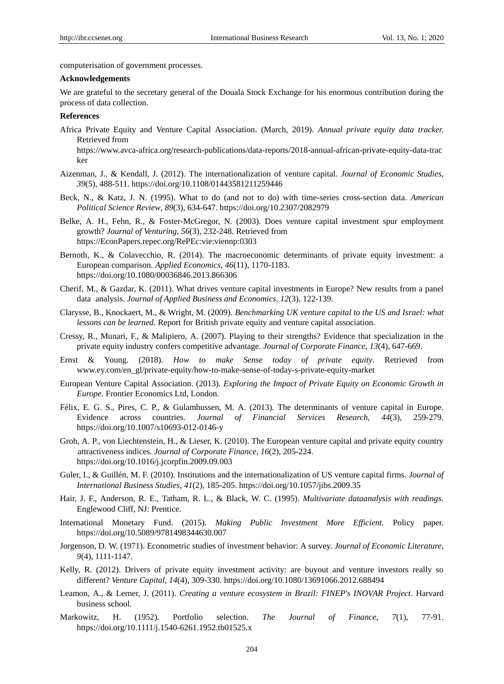computerisation of government processes.

#### **Acknowledgements**

We are grateful to the secretary general of the Douala Stock Exchange for his enormous contribution during the process of data collection.

#### **References**

Africa Private Equity and Venture Capital Association. (March, 2019). *Annual private equity data tracker.* Retrieved from

[https://www.avca-africa.org/research-publications/data-reports/2018-annual-african-p](https://www.avca-africa.org/research-publications/data-reports/2018-annual-african-)rivate-equity-data-trac ker

- Aizenman, J., & Kendall, J. (2012). The internationalization of venture capital. *Journal of Economic Studies*, *39*(5), 488-511. https://doi.org/10.1108/01443581211259446
- Beck, N., & Katz, J. N. (1995). What to do (and not to do) with time-series cross-section data. *American Political Science Review*, *89*(3), 634-647. https://doi.org/10.2307/2082979
- Belke, A. H., Fehn, R., & Foster-McGregor, N. (2003). Does venture capital investment spur employment growth? *Journal of Venturing, 56*(3), 232-248. Retrieved from [https://EconPapers.repec.org/RePEc:vie:viennp:0303](https://econpapers.repec.org/RePEc:vie:viennp:0303)
- Bernoth, K., & Colavecchio, R. (2014). The macroeconomic determinants of private equity investment: a European comparison. *Applied Economics*, *46*(11), 1170-1183. <https://doi.org/10.1080/00036846.2013.866306>
- Cherif, M., & Gazdar, K. (2011). What drives venture capital investments in Europe? New results from a panel data analysis. *Journal of Applied Business and Economics, 12*(3), 122-139.
- Clarysse, B., Knockaert, M., & Wright, M. (2009). *Benchmarking UK venture capital to the US and Israel: what lessons can be learned.* Report for British private equity and venture capital association.
- Cressy, R., Munari, F., & Malipiero, A. (2007). Playing to their strengths? Evidence that specialization in the private equity industry confers competitive advantage. *Journal of Corporate Finance*, *13*(4), 647-669.
- Ernst & Young. (2018). *How to make Sense today of private equity*. Retrieved from www.ey.com/en\_gl/private-equity/how-to-make-sense-of-today-s-private-equity-market
- European Venture Capital Association. (2013). *Exploring the Impact of Private Equity on Economic Growth in Europe.* Frontier Economics Ltd, London.
- Félix, E. G. S., Pires, C. P., & Gulamhussen, M. A. (2013). The determinants of venture capital in Europe. Evidence across countries. *Journal of Financial Services Research, 44*(3), 259-279. https://doi.org/10.1007/s10693-012-0146-y
- Groh, A. P., von Liechtenstein, H., & Lieser, K. (2010). The European venture capital and private equity country attractiveness indices. *Journal of Corporate Finance*, *16*(2), 205-224. https://doi.org/10.1016/j.jcorpfin.2009.09.003
- Guler, I., & Guillén, M. F. (2010). Institutions and the internationalization of US venture capital firms. *Journal of International Business Studies*, *41*(2), 185-205. https://doi.org/10.1057/jibs.2009.35
- Hair, J. F., Anderson, R. E., Tatham, R. L., & Black, W. C. (1995). *Multivariate dataanalysis with readings.* Englewood Cliff, NJ: Prentice.
- International Monetary Fund. (2015). *Making Public Investment More Efficient.* Policy paper. https://doi.org/10.5089/9781498344630.007
- Jorgenson, D. W. (1971). Econometric studies of investment behavior: A survey. *Journal of Economic Literature*, *9*(4), 1111-1147.
- Kelly, R. (2012). Drivers of private equity investment activity: are buyout and venture investors really so different? *Venture Capital*, *14*(4), 309-330[. https://doi.org/10.1080/13691066.2012.688494](https://doi.org/10.1080/13691066.2012.688494)
- Leamon, A., & Lerner, J. (2011). *Creating a venture ecosystem in Brazil: FINEP's INOVAR Project*. Harvard business school.
- Markowitz, H. (1952). Portfolio selection. *The Journal of Finance*, *7*(1), 77-91. https://doi.org/10.1111/j.1540-6261.1952.tb01525.x